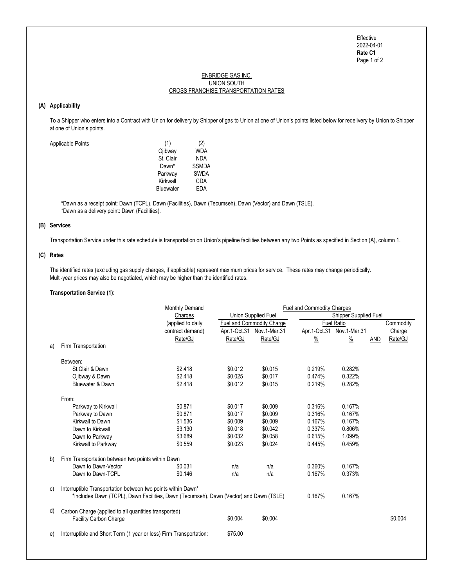Page 1 of 2 Effective 2022-04-01 Rate C1

# ENBRIDGE GAS INC. CROSS FRANCHISE TRANSPORTATION RATES UNION SOUTH

# (A) Applicability

 To a Shipper who enters into a Contract with Union for delivery by Shipper of gas to Union at one of Union's points listed below for redelivery by Union to Shipper at one of Union's points.

| Applicable Points | (1)              | (2)          |
|-------------------|------------------|--------------|
|                   | Ojibway          | <b>WDA</b>   |
|                   | St. Clair        | <b>NDA</b>   |
|                   | Dawn*            | <b>SSMDA</b> |
|                   | Parkway          | <b>SWDA</b>  |
|                   | Kirkwall         | CDA          |
|                   | <b>Bluewater</b> | EDA          |
|                   |                  |              |

 \*Dawn as a receipt point: Dawn (TCPL), Dawn (Facilities), Dawn (Tecumseh), Dawn (Vector) and Dawn (TSLE). \*Dawn as a delivery point: Dawn (Facilities).

# (B) Services

Transportation Service under this rate schedule is transportation on Union's pipeline facilities between any two Points as specified in Section (A), column 1.

#### (C) Rates

 The identified rates (excluding gas supply charges, if applicable) represent maximum prices for service. These rates may change periodically. Multi-year prices may also be negotiated, which may be higher than the identified rates.

#### Transportation Service (1):

|    |                                                                                        | <b>Monthly Demand</b> |                                  | Fuel and Commodity Charges |                              |                           |            |           |  |
|----|----------------------------------------------------------------------------------------|-----------------------|----------------------------------|----------------------------|------------------------------|---------------------------|------------|-----------|--|
|    |                                                                                        | Charges               | Union Supplied Fuel              |                            | <b>Shipper Supplied Fuel</b> |                           |            |           |  |
|    |                                                                                        | (applied to daily     | <b>Fuel and Commodity Charge</b> |                            | <b>Fuel Ratio</b>            |                           |            | Commodity |  |
|    |                                                                                        | contract demand)      |                                  | Apr.1-Oct.31 Nov.1-Mar.31  |                              | Apr.1-Oct.31 Nov.1-Mar.31 |            | Charge    |  |
|    |                                                                                        | Rate/GJ               | Rate/GJ                          | Rate/GJ                    | $\frac{9}{6}$                | $\frac{9}{6}$             | <b>AND</b> | Rate/GJ   |  |
| a) | Firm Transportation                                                                    |                       |                                  |                            |                              |                           |            |           |  |
|    | Between:                                                                               |                       |                                  |                            |                              |                           |            |           |  |
|    | St.Clair & Dawn                                                                        | \$2.418               | \$0.012                          | \$0.015                    | 0.219%                       | 0.282%                    |            |           |  |
|    | Ojibway & Dawn                                                                         | \$2.418               | \$0.025                          | \$0.017                    | 0.474%                       | 0.322%                    |            |           |  |
|    | Bluewater & Dawn                                                                       | \$2.418               | \$0.012                          | \$0.015                    | 0.219%                       | 0.282%                    |            |           |  |
|    | From:                                                                                  |                       |                                  |                            |                              |                           |            |           |  |
|    | Parkway to Kirkwall                                                                    | \$0.871               | \$0.017                          | \$0.009                    | 0.316%                       | 0.167%                    |            |           |  |
|    | Parkway to Dawn                                                                        | \$0.871               | \$0.017                          | \$0.009                    | 0.316%                       | 0.167%                    |            |           |  |
|    | Kirkwall to Dawn                                                                       | \$1.536               | \$0.009                          | \$0.009                    | 0.167%                       | 0.167%                    |            |           |  |
|    | Dawn to Kirkwall                                                                       | \$3.130               | \$0.018                          | \$0.042                    | 0.337%                       | 0.806%                    |            |           |  |
|    | Dawn to Parkway                                                                        | \$3.689               | \$0.032                          | \$0.058                    | 0.615%                       | 1.099%                    |            |           |  |
|    | Kirkwall to Parkway                                                                    | \$0.559               | \$0.023                          | \$0.024                    | 0.445%                       | 0.459%                    |            |           |  |
| b) | Firm Transportation between two points within Dawn                                     |                       |                                  |                            |                              |                           |            |           |  |
|    | Dawn to Dawn-Vector                                                                    | \$0.031               | n/a                              | n/a                        | 0.360%                       | 0.167%                    |            |           |  |
|    | Dawn to Dawn-TCPL                                                                      | \$0.146               | n/a                              | n/a                        | 0.167%                       | 0.373%                    |            |           |  |
|    |                                                                                        |                       |                                  |                            |                              |                           |            |           |  |
| C) | Interruptible Transportation between two points within Dawn*                           |                       |                                  |                            |                              |                           |            |           |  |
|    | *includes Dawn (TCPL), Dawn Facilities, Dawn (Tecumseh), Dawn (Vector) and Dawn (TSLE) |                       |                                  |                            | 0.167%                       | 0.167%                    |            |           |  |
| d) | Carbon Charge (applied to all quantities transported)                                  |                       |                                  |                            |                              |                           |            |           |  |
|    | <b>Facility Carbon Charge</b>                                                          |                       | \$0.004                          | \$0.004                    |                              |                           |            | \$0.004   |  |
| e) | Interruptible and Short Term (1 year or less) Firm Transportation:                     |                       | \$75.00                          |                            |                              |                           |            |           |  |
|    |                                                                                        |                       |                                  |                            |                              |                           |            |           |  |